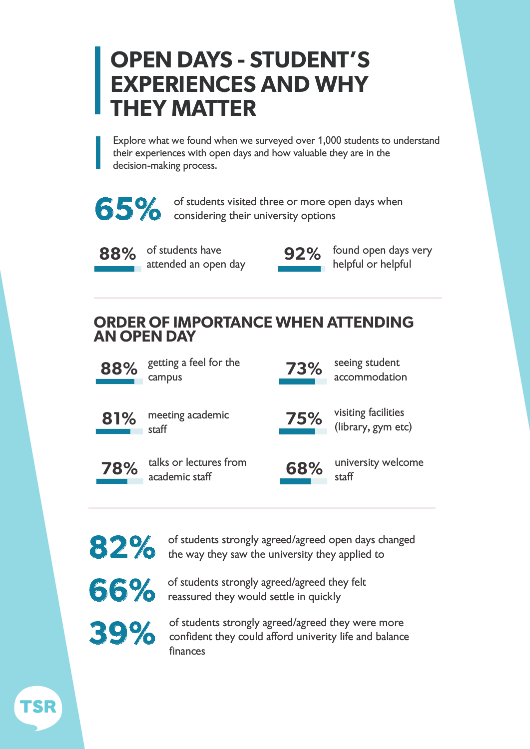# **OPEN DAYS - STUDENT'S EXPERIENCES AND WHY THEY MATTER**

Explore what we found when we surveyed over 1,000 students to understand their experiences with open days and how valuable they are in the decision-making process.



**65%** of students visited three or more op considering their university options of students visited three or more open days when



**88% 92%** of students have attended an open day



found open days very helpful or helpful

## **ORDER OF IMPORTANCE WHEN ATTENDING AN OPEN DAY**



88% getting a feel for the **73%** seeing student campus



81% meeting academic **75%** visiting facilities staff



academic staff



(library, gym etc)

accommodation



82% of students strongly agreed/agreed open days changed the way they saw the university they applied to

**66%** of students strongly agreed/agreed they felt reassured they would settle in quickly

of students strongly agreed/agreed they were more confident they could afford univerity life and balance finances **39%**

TSR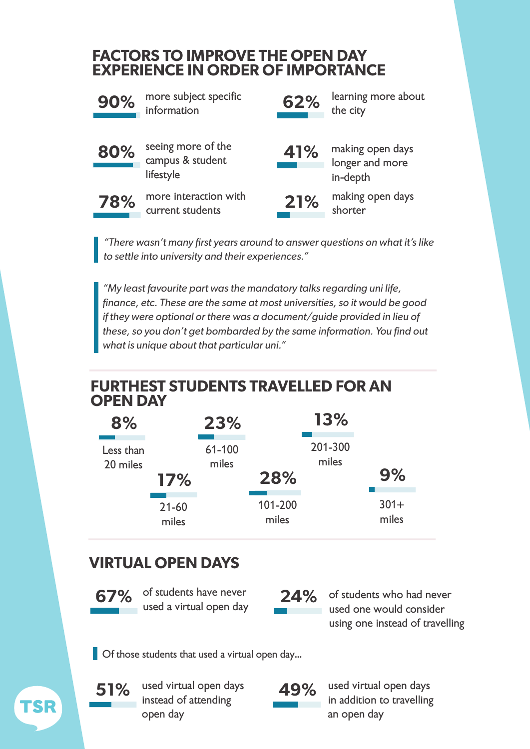#### **FACTORS TO IMPROVE THE OPEN DAY EXPERIENCE IN ORDER OF IMPORTANCE**



**90%** more subject specific **62%** learning more about information



seeing more of the campus & student lifestyle



the city



**80% b** seeing more of the **41%** making open days longer and more in-depth



**78%** more interaction with **21%** making open days current students



shorter

*"There wasn't many first years around to answer questions on what it's like to settle into university and their experiences."*

*"My least favourite part was the mandatory talks regarding uni life, finance, etc. These are the same at most universities, so it would be good if they were optional or there was a document/guide provided in lieu of these, so you don't get bombarded by the same information. You find out what is unique about that particular uni."*

## **FURTHEST STUDENTS TRAVELLED FOR AN OPEN DAY**

| 8%                    |                    | 23%             |                  | <b>13%</b>       |                  |
|-----------------------|--------------------|-----------------|------------------|------------------|------------------|
| Less than<br>20 miles | 17%                | 61-100<br>miles | 28%              | 201-300<br>miles | 9%               |
|                       | $21 - 60$<br>miles |                 | 101-200<br>miles |                  | $301 +$<br>miles |

# **VIRTUAL OPEN DAYS**

of students have never used a virtual open day

**67%** of students have never **24%** of students who had never used one would consider using one instead of travelling

**Of those students that used a virtual open day...** 



TSR

in addition to travelling an open day